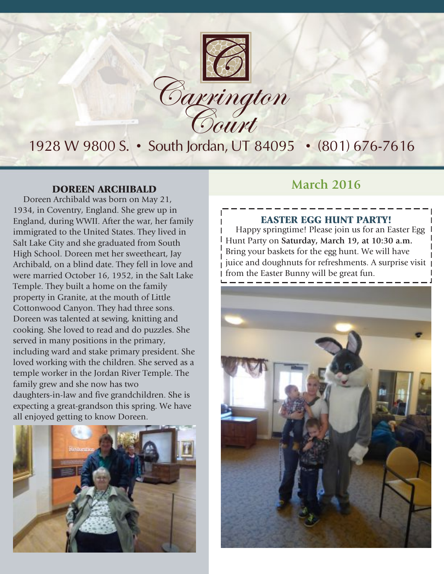

# 1928 W 9800 S. • South Jordan, UT 84095 • (801) 676-7616

Doreen Archibald was born on May 21, 1934, in Coventry, England. She grew up in England, during WWII. After the war, her family immigrated to the United States. They lived in Salt Lake City and she graduated from South High School. Doreen met her sweetheart, Jay Archibald, on a blind date. They fell in love and were married October 16, 1952, in the Salt Lake Temple. They built a home on the family property in Granite, at the mouth of Little Cottonwood Canyon. They had three sons. Doreen was talented at sewing, knitting and cooking. She loved to read and do puzzles. She served in many positions in the primary, including ward and stake primary president. She loved working with the children. She served as a temple worker in the Jordan River Temple. The family grew and she now has two daughters-in-law and five grandchildren. She is expecting a great-grandson this spring. We have all enjoyed getting to know Doreen.



## **DOREEN ARCHIBALD March** 2016

### EASTER EGG HUNT PARTY!

Happy springtime! Please join us for an Easter Egg Hunt Party on **Saturday, March 19, at 10:30 a.m.** Bring your baskets for the egg hunt. We will have juice and doughnuts for refreshments. A surprise visit from the Easter Bunny will be great fun.

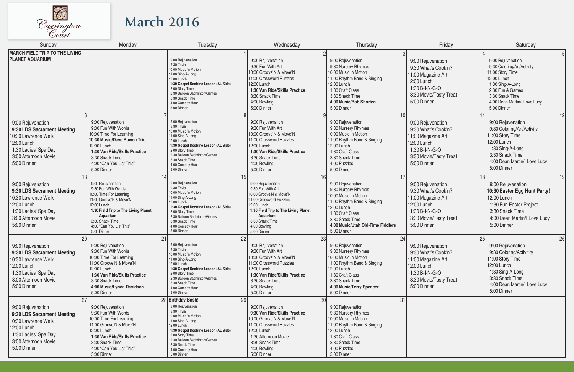

# **March 2016**

| Sunday                                                                                                                                                     | Monday                                                                                                                                                                                                                          | Tuesday                                                                                                                                                                                                                                                                    | Wednesday                                                                                                                                                                                                         | Thursday                                                                                                                                                                                                         | Friday                                                                                                                                         | Saturday                                                                                                                                                                                     |
|------------------------------------------------------------------------------------------------------------------------------------------------------------|---------------------------------------------------------------------------------------------------------------------------------------------------------------------------------------------------------------------------------|----------------------------------------------------------------------------------------------------------------------------------------------------------------------------------------------------------------------------------------------------------------------------|-------------------------------------------------------------------------------------------------------------------------------------------------------------------------------------------------------------------|------------------------------------------------------------------------------------------------------------------------------------------------------------------------------------------------------------------|------------------------------------------------------------------------------------------------------------------------------------------------|----------------------------------------------------------------------------------------------------------------------------------------------------------------------------------------------|
| MARCH FIELD TRIP TO THE LIVING<br><b>PLANET AQUARIUM</b>                                                                                                   |                                                                                                                                                                                                                                 | 9:00 Rejuvenation<br>9:30 Trivia<br>10:00 Music 'n Motion<br>11:00 Sing-A-Long<br>12:00 Lunch<br>1:30 Gospel Doctrine Lesson (AL Side)<br>2:00 Story Time<br>2:30 Balloon Badminton/Games<br>3:30 Snack Time<br>4:00 Comedy Hour<br>5:00 Dinner                            | 9:00 Rejuvenation<br>9:30 Fun With Art<br>10:00 Groove'N & Move'N<br>11:00 Crossword Puzzles<br>12:00 Lunch<br>1:30 Van Ride/Skills Practice<br>3:30 Snack Time<br>4:00 Bowling<br>5:00 Dinner                    | 9:00 Rejuvenation<br>9:30 Nursery Rhymes<br>10:00 Music 'n Motion<br>11:00 Rhythm Band & Singing<br>12:00 Lunch<br>1:30 Craft Class<br>3:30 Snack Time<br>4:00 Music/Bob Shorten<br>5:00 Dinner                  | 9:00 Rejuvenation<br>9:30 What's Cook'n?<br>11:00 Magazine Art<br>12:00 Lunch<br>1:30 B-I-N-G-O<br>3:30 Movie/Tasty Treat<br>5:00 Dinner       | 9:00 Rejuvenation<br>9:30 Coloring/Art/Activity<br>11:00 Story Time<br>12:00 Lunch<br>1:30 Sing-A-Long<br>2:30 Fun & Games<br>3:30 Snack Time<br>4:00 Dean Martin/I Love Lucy<br>5:00 Dinner |
| 9:00 Rejuvenation<br>9:30 LDS Sacrament Meeting<br>10:30 Lawrence Welk<br>12:00 Lunch<br>1:30 Ladies' Spa Day<br>3:00 Afternoon Movie<br>5:00 Dinner       | 9:00 Rejuvenation<br>9:30 Fun With Words<br>10:00 Time For Learning<br>10:30 Music/Dave Bowen Trio<br>12:00 Lunch<br>1:30 Van Ride/Skills Practice<br>3:30 Snack Time<br>4:00 "Can You List This"<br>5:00 Dinner                | 9:00 Rejuvenation<br>9:30 Trivia<br>10:00 Music 'n Motion<br>11:00 Sing-A-Long<br>12:00 Lunch<br>1:30 Gospel Doctrine Lesson (AL Side)<br>2:00 Story Time<br>2:30 Balloon Badminton/Games<br>3:30 Snack Time<br>4:00 Comedy Hour<br>5:00 Dinner                            | 9:00 Rejuvenation<br>9:30 Fun With Art<br>10:00 Groove'N & Move'N<br>11:00 Crossword Puzzles<br>12:00 Lunch<br>1:30 Van Ride/Skills Practice<br>3:30 Snack Time<br>4:00 Bowling<br>5:00 Dinner                    | 9:00 Rejuvenation<br>9:30 Nursery Rhymes<br>10:00 Music 'n Motion<br>11:00 Rhythm Band & Singing<br>12:00 Lunch<br>1:30 Craft Class<br>3:30 Snack Time<br>4:00 Puzzles<br>5:00 Dinner                            | 9:00 Rejuvenation<br>9:30 What's Cook'n?<br>11:00 Magazine Art<br>12:00 Lunch<br>1:30 B-I-N-G-O<br>3:30 Movie/Tasty Treat<br>5:00 Dinner       | 12 <sup>1</sup><br>9:00 Rejuvenation<br>9:30 Coloring/Art/Activity<br>11:00 Story Time<br>12:00 Lunch<br>1:30 Sing-A-Long<br>3:30 Snack Time<br>4:00 Dean Martin/I Love Lucy<br>5:00 Dinner  |
| 9:00 Rejuvenation<br>9:30 LDS Sacrament Meeting<br>10:30 Lawrence Welk<br>12:00 Lunch<br>1:30 Ladies' Spa Day<br>3:00 Afternoon Movie<br>5:00 Dinner       | 9:00 Rejuvenation<br>9:30 Fun With Words<br>10:00 Time For Learning<br>11:00 Groove'N & Move'N<br>12:00 Lunch<br>1:30 Field Trip to The Living Planet<br>Aquarium<br>3:30 Snack Time<br>4:00 "Can You List This"<br>5:00 Dinner | 15<br>9:00 Rejuvenation<br>9:30 Trivia<br>10:00 Music 'n Motion<br>11:00 Sing-A-Long<br>12:00 Lunch<br>1:30 Gospel Doctrine Lesson (AL Side)<br>2:00 Story Time<br>2:30 Balloon Badminton/Games<br>3:30 Snack Time<br>4:00 Comedy Hour<br>5:00 Dinner                      | 9:00 Rejuvenation<br>9:30 Fun With Art<br>10:00 Groove'N & Move'N<br>11:00 Crossword Puzzles<br>12:00 Lunch<br>1:30 Field Trip to The Living Planet<br>Aquarium<br>3:30 Snack Time<br>4:00 Bowling<br>5:00 Dinner | 17<br>9:00 Rejuvenation<br>9:30 Nursery Rhymes<br>10:00 Music 'n Motion<br>11:00 Rhythm Band & Singing<br>12:00 Lunch<br>1:30 Craft Class<br>3:30 Snack Time<br>4:00 Music/Utah Old-Time Fiddlers<br>5:00 Dinner | 18<br>9:00 Rejuvenation<br>9:30 What's Cook'n?<br>11:00 Magazine Art<br>12:00 Lunch<br>1:30 B-I-N-G-O<br>3:30 Movie/Tasty Treat<br>5:00 Dinner | 19 <sup>1</sup><br>9:00 Rejuvenation<br>10:30 Easter Egg Hunt Party!<br>12:00 Lunch<br>1:30 Fun Easter Project<br>3:30 Snack Time<br>4:00 Dean Martin/I Love Lucy<br>5:00 Dinner             |
| 20<br>9:00 Rejuvenation<br>9:30 LDS Sacrament Meeting<br>10:30 Lawrence Welk<br>12:00 Lunch<br>1:30 Ladies' Spa Day<br>3:00 Afternoon Movie<br>5:00 Dinner | 21<br>9:00 Rejuvenation<br>9:30 Fun With Words<br>10:00 Time For Learning<br>11:00 Groove'N & Move'N<br>12:00 Lunch<br>1:30 Van Ride/Skills Practice<br>3:30 Snack Time<br>4:00 Music/Lynda Davidson<br>5:00 Dinner             | 22<br>9:00 Rejuvenation<br>9:30 Trivia<br>10:00 Music 'n Motion<br>11:00 Sing-A-Long<br>12:00 Lunch<br>1:30 Gospel Doctrine Lesson (AL Side)<br>2:00 Story Time<br>2:30 Balloon Badminton/Games<br>3:30 Snack Time<br>4:00 Comedy Hour<br>5:00 Dinner                      | 23<br>9:00 Rejuvenation<br>9:30 Fun With Art<br>10:00 Groove'N & Move'N<br>11:00 Crossword Puzzles<br>12:00 Lunch<br>1:30 Van Ride/Skills Practice<br>3:30 Snack Time<br>4:00 Bowling<br>5:00 Dinner              | 24<br>9:00 Rejuvenation<br>9:30 Nursery Rhymes<br>10:00 Music 'n Motion<br>11:00 Rhythm Band & Singing<br>12:00 Lunch<br>1:30 Craft Class<br>3:30 Snack Time<br>4:00 Music/Terry Spencer<br>5:00 Dinner          | 25<br>9:00 Rejuvenation<br>9:30 What's Cook'n?<br>11:00 Magazine Art<br>12:00 Lunch<br>1:30 B-I-N-G-O<br>3:30 Movie/Tasty Treat<br>5:00 Dinner | 26<br>9:00 Rejuvenation<br>9:30 Coloring/Activitity<br>11:00 Story Time<br>12:00 Lunch<br>1:30 Sing-A-Long<br>3:30 Snack Time<br>4:00 Dean Martin/I Love Lucy<br>5:00 Dinner                 |
| 27<br>9:00 Rejuvenation<br>9:30 LDS Sacrament Meeting<br>10:30 Lawrence Welk<br>12:00 Lunch<br>1:30 Ladies' Spa Day<br>3:00 Afternoon Movie<br>5:00 Dinner | 9:00 Rejuvenation<br>9:30 Fun With Words<br>10:00 Time For Learning<br>11:00 Groove'N & Move'N<br>12:00 Lunch<br>1:30 Van Ride/Skills Practice<br>3:30 Snack Time<br>4:00 "Can You List This"<br>5:00 Dinner                    | 28 Birthday Bash!<br>29<br>9:00 Rejuvenation<br>9:30 Trivia<br>10:00 Music 'n Motion<br>11:00 Sing-A-Long<br>12:00 Lunch<br>1:30 Gospel Doctrine Lesson (AL Side)<br>2:00 Story Time<br>2:30 Balloon Badminton/Games<br>3:30 Snack Time<br>4:00 Comedy Hour<br>5:00 Dinner | 30<br>9:00 Rejuvenation<br>9:30 Van Ride/Skills Practice<br>10:00 Groove'N & Move'N<br>11:00 Crossword Puzzles<br>12:00 Lunch<br>1:30 Afternoon Movie<br>3:30 Snack Time<br>4:00 Bowling<br>5:00 Dinner           | 31<br>9:00 Rejuvenation<br>9:30 Nursery Rhymes<br>10:00 Music 'n Motion<br>11:00 Rhythm Band & Singing<br>12:00 Lunch<br>1:30 Craft Class<br>3:30 Snack Time<br>4:00 Puzzles<br>5:00 Dinner                      |                                                                                                                                                |                                                                                                                                                                                              |